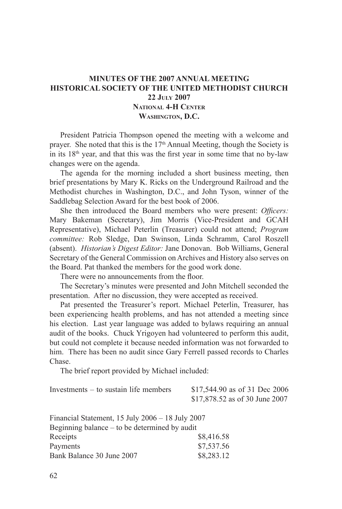## **Minutes of the 2007 Annual Meeting Historical Society of The United Methodist Church 22 July 2007 National 4-H Center Washington, D.C.**

President Patricia Thompson opened the meeting with a welcome and prayer. She noted that this is the 17<sup>th</sup> Annual Meeting, though the Society is in its  $18<sup>th</sup>$  year, and that this was the first year in some time that no by-law changes were on the agenda.

The agenda for the morning included a short business meeting, then brief presentations by Mary K. Ricks on the Underground Railroad and the Methodist churches in Washington, D.C., and John Tyson, winner of the Saddlebag Selection Award for the best book of 2006.

She then introduced the Board members who were present: *Officers:*  Mary Bakeman (Secretary), Jim Morris (Vice-President and GCAH Representative), Michael Peterlin (Treasurer) could not attend; *Program committee:* Rob Sledge, Dan Swinson, Linda Schramm, Carol Roszell (absent). *Historian's Digest Editor:* Jane Donovan. Bob Williams, General Secretary of the General Commission on Archives and History also serves on the Board. Pat thanked the members for the good work done.

There were no announcements from the floor.

The Secretary's minutes were presented and John Mitchell seconded the presentation. After no discussion, they were accepted as received.

Pat presented the Treasurer's report. Michael Peterlin, Treasurer, has been experiencing health problems, and has not attended a meeting since his election. Last year language was added to bylaws requiring an annual audit of the books. Chuck Yrigoyen had volunteered to perform this audit, but could not complete it because needed information was not forwarded to him. There has been no audit since Gary Ferrell passed records to Charles Chase.

The brief report provided by Michael included:

| Investments – to sustain life members | \$17,544.90 as of 31 Dec 2006  |
|---------------------------------------|--------------------------------|
|                                       | \$17,878.52 as of 30 June 2007 |

| Financial Statement, 15 July 2006 - 18 July 2007 |            |  |
|--------------------------------------------------|------------|--|
| Beginning balance – to be determined by audit    |            |  |
| Receipts                                         | \$8,416.58 |  |
| Payments                                         | \$7.537.56 |  |
| Bank Balance 30 June 2007                        | \$8,283.12 |  |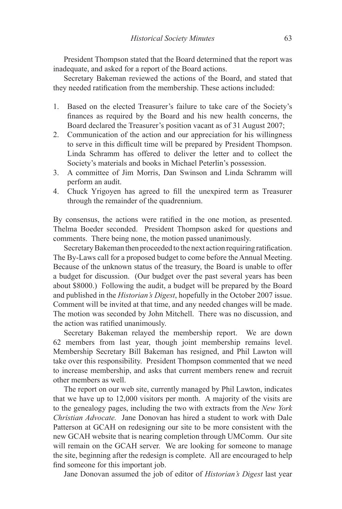President Thompson stated that the Board determined that the report was inadequate, and asked for a report of the Board actions.

Secretary Bakeman reviewed the actions of the Board, and stated that they needed ratification from the membership. These actions included:

- 1. Based on the elected Treasurer's failure to take care of the Society's finances as required by the Board and his new health concerns, the Board declared the Treasurer's position vacant as of 31 August 2007;
- 2. Communication of the action and our appreciation for his willingness to serve in this difficult time will be prepared by President Thompson. Linda Schramm has offered to deliver the letter and to collect the Society's materials and books in Michael Peterlin's possession.
- 3. A committee of Jim Morris, Dan Swinson and Linda Schramm will perform an audit.
- 4. Chuck Yrigoyen has agreed to fill the unexpired term as Treasurer through the remainder of the quadrennium.

By consensus, the actions were ratified in the one motion, as presented. Thelma Boeder seconded. President Thompson asked for questions and comments. There being none, the motion passed unanimously.

Secretary Bakeman then proceeded to the next action requiring ratification. The By-Laws call for a proposed budget to come before the Annual Meeting. Because of the unknown status of the treasury, the Board is unable to offer a budget for discussion. (Our budget over the past several years has been about \$8000.) Following the audit, a budget will be prepared by the Board and published in the *Historian's Digest*, hopefully in the October 2007 issue. Comment will be invited at that time, and any needed changes will be made. The motion was seconded by John Mitchell. There was no discussion, and the action was ratified unanimously.

Secretary Bakeman relayed the membership report. We are down 62 members from last year, though joint membership remains level. Membership Secretary Bill Bakeman has resigned, and Phil Lawton will take over this responsibility. President Thompson commented that we need to increase membership, and asks that current members renew and recruit other members as well.

The report on our web site, currently managed by Phil Lawton, indicates that we have up to 12,000 visitors per month. A majority of the visits are to the genealogy pages, including the two with extracts from the *New York Christian Advocate.* Jane Donovan has hired a student to work with Dale Patterson at GCAH on redesigning our site to be more consistent with the new GCAH website that is nearing completion through UMComm. Our site will remain on the GCAH server. We are looking for someone to manage the site, beginning after the redesign is complete. All are encouraged to help find someone for this important job.

Jane Donovan assumed the job of editor of *Historian's Digest* last year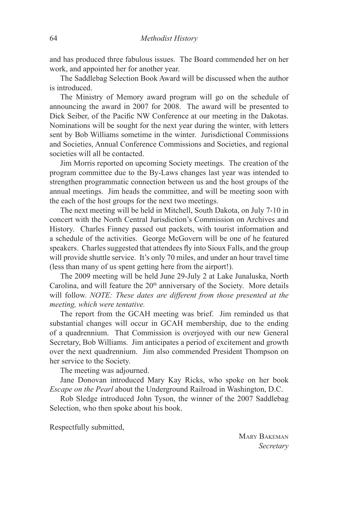and has produced three fabulous issues. The Board commended her on her work, and appointed her for another year.

The Saddlebag Selection Book Award will be discussed when the author is introduced.

The Ministry of Memory award program will go on the schedule of announcing the award in 2007 for 2008. The award will be presented to Dick Seiber, of the Pacific NW Conference at our meeting in the Dakotas. Nominations will be sought for the next year during the winter, with letters sent by Bob Williams sometime in the winter. Jurisdictional Commissions and Societies, Annual Conference Commissions and Societies, and regional societies will all be contacted.

Jim Morris reported on upcoming Society meetings. The creation of the program committee due to the By-Laws changes last year was intended to strengthen programmatic connection between us and the host groups of the annual meetings. Jim heads the committee, and will be meeting soon with the each of the host groups for the next two meetings.

The next meeting will be held in Mitchell, South Dakota, on July 7-10 in concert with the North Central Jurisdiction's Commission on Archives and History. Charles Finney passed out packets, with tourist information and a schedule of the activities. George McGovern will be one of he featured speakers. Charles suggested that attendees fly into Sioux Falls, and the group will provide shuttle service. It's only 70 miles, and under an hour travel time (less than many of us spent getting here from the airport!).

The 2009 meeting will be held June 29-July 2 at Lake Junaluska, North Carolina, and will feature the  $20<sup>th</sup>$  anniversary of the Society. More details will follow. *NOTE: These dates are different from those presented at the meeting, which were tentative.*

The report from the GCAH meeting was brief. Jim reminded us that substantial changes will occur in GCAH membership, due to the ending of a quadrennium. That Commission is overjoyed with our new General Secretary, Bob Williams. Jim anticipates a period of excitement and growth over the next quadrennium. Jim also commended President Thompson on her service to the Society.

The meeting was adjourned.

Jane Donovan introduced Mary Kay Ricks, who spoke on her book *Escape on the Pearl* about the Underground Railroad in Washington, D.C.

Rob Sledge introduced John Tyson, the winner of the 2007 Saddlebag Selection, who then spoke about his book.

Respectfully submitted,

Mary Bakeman *Secretary*